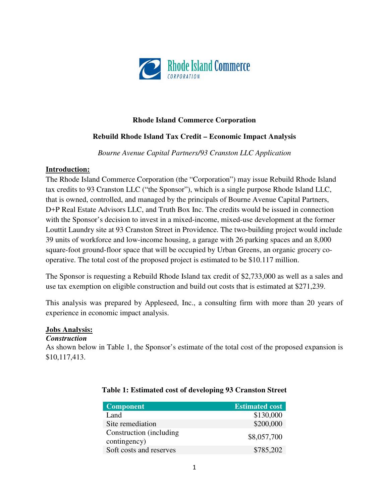

#### **Rhode Island Commerce Corporation**

## **Rebuild Rhode Island Tax Credit – Economic Impact Analysis**

*Bourne Avenue Capital Partners/93 Cranston LLC Application* 

#### **Introduction:**

The Rhode Island Commerce Corporation (the "Corporation") may issue Rebuild Rhode Island tax credits to 93 Cranston LLC ("the Sponsor"), which is a single purpose Rhode Island LLC, that is owned, controlled, and managed by the principals of Bourne Avenue Capital Partners, D+P Real Estate Advisors LLC, and Truth Box Inc. The credits would be issued in connection with the Sponsor's decision to invest in a mixed-income, mixed-use development at the former Louttit Laundry site at 93 Cranston Street in Providence. The two-building project would include 39 units of workforce and low-income housing, a garage with 26 parking spaces and an 8,000 square-foot ground-floor space that will be occupied by Urban Greens, an organic grocery cooperative. The total cost of the proposed project is estimated to be \$10.117 million.

The Sponsor is requesting a Rebuild Rhode Island tax credit of \$2,733,000 as well as a sales and use tax exemption on eligible construction and build out costs that is estimated at \$271,239.

This analysis was prepared by Appleseed, Inc., a consulting firm with more than 20 years of experience in economic impact analysis.

#### **Jobs Analysis:**

#### *Construction*

As shown below in Table 1, the Sponsor's estimate of the total cost of the proposed expansion is \$10,117,413.

| <b>Component</b>                         | <b>Estimated cost</b> |
|------------------------------------------|-----------------------|
| Land                                     | \$130,000             |
| Site remediation                         | \$200,000             |
| Construction (including)<br>contingency) | \$8,057,700           |
| Soft costs and reserves                  | \$785,202             |

## **Table 1: Estimated cost of developing 93 Cranston Street**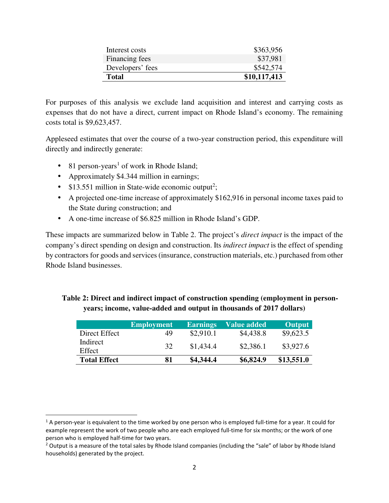| Interest costs   | \$363,956    |
|------------------|--------------|
| Financing fees   | \$37,981     |
| Developers' fees | \$542,574    |
| Total            | \$10,117,413 |
|                  |              |

For purposes of this analysis we exclude land acquisition and interest and carrying costs as expenses that do not have a direct, current impact on Rhode Island's economy. The remaining costs total is \$9,623,457.

Appleseed estimates that over the course of a two-year construction period, this expenditure will directly and indirectly generate:

 $\bullet$  81 person-years<sup>1</sup> of work in Rhode Island;

<u>.</u>

- Approximately \$4.344 million in earnings;
- \$13.551 million in State-wide economic output<sup>2</sup>;
- A projected one-time increase of approximately \$162,916 in personal income taxes paid to the State during construction; and
- A one-time increase of \$6.825 million in Rhode Island's GDP.

These impacts are summarized below in Table 2. The project's *direct impact* is the impact of the company's direct spending on design and construction. Its *indirect impact* is the effect of spending by contractors for goods and services (insurance, construction materials, etc.) purchased from other Rhode Island businesses.

|                     | <b>Employment</b> | <b>Earnings</b> | Value added | <b>Output</b> |
|---------------------|-------------------|-----------------|-------------|---------------|
| Direct Effect       | 49                | \$2,910.1       | \$4,438.8   | \$9,623.5     |
| Indirect<br>Effect  | 32                | \$1,434.4       | \$2,386.1   | \$3,927.6     |
| <b>Total Effect</b> | 81                | \$4,344.4       | \$6,824.9   | \$13,551.0    |

# **Table 2: Direct and indirect impact of construction spending (employment in personyears; income, value-added and output in thousands of 2017 dollars)**

<sup>&</sup>lt;sup>1</sup> A person-year is equivalent to the time worked by one person who is employed full-time for a year. It could for example represent the work of two people who are each employed full-time for six months; or the work of one person who is employed half-time for two years.

<sup>&</sup>lt;sup>2</sup> Output is a measure of the total sales by Rhode Island companies (including the "sale" of labor by Rhode Island households) generated by the project.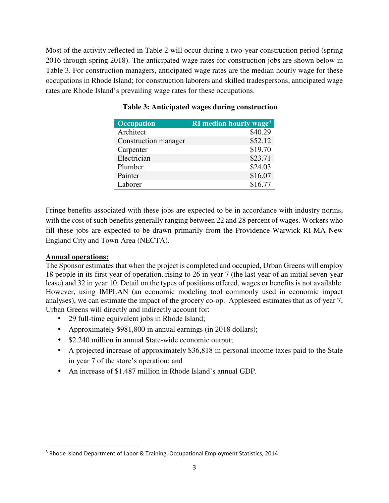Most of the activity reflected in Table 2 will occur during a two-year construction period (spring 2016 through spring 2018). The anticipated wage rates for construction jobs are shown below in Table 3. For construction managers, anticipated wage rates are the median hourly wage for these occupations in Rhode Island; for construction laborers and skilled tradespersons, anticipated wage rates are Rhode Island's prevailing wage rates for these occupations.

| <b>Occupation</b>    | <b>RI</b> median hourly wage <sup>3</sup> |
|----------------------|-------------------------------------------|
| Architect            | \$40.29                                   |
| Construction manager | \$52.12                                   |
| Carpenter            | \$19.70                                   |
| Electrician          | \$23.71                                   |
| Plumber              | \$24.03                                   |
| Painter              | \$16.07                                   |
| Laborer              | \$16.77                                   |

## **Table 3: Anticipated wages during construction**

Fringe benefits associated with these jobs are expected to be in accordance with industry norms, with the cost of such benefits generally ranging between 22 and 28 percent of wages. Workers who fill these jobs are expected to be drawn primarily from the Providence-Warwick RI-MA New England City and Town Area (NECTA).

## **Annual operations:**

-

The Sponsor estimates that when the project is completed and occupied, Urban Greens will employ 18 people in its first year of operation, rising to 26 in year 7 (the last year of an initial seven-year lease) and 32 in year 10. Detail on the types of positions offered, wages or benefits is not available. However, using IMPLAN (an economic modeling tool commonly used in economic impact analyses), we can estimate the impact of the grocery co-op. Appleseed estimates that as of year 7, Urban Greens will directly and indirectly account for:

- 29 full-time equivalent jobs in Rhode Island;
- Approximately \$981,800 in annual earnings (in 2018 dollars);
- \$2.240 million in annual State-wide economic output;
- A projected increase of approximately \$36,818 in personal income taxes paid to the State in year 7 of the store's operation; and
- An increase of \$1.487 million in Rhode Island's annual GDP.

<sup>&</sup>lt;sup>3</sup> Rhode Island Department of Labor & Training, Occupational Employment Statistics, 2014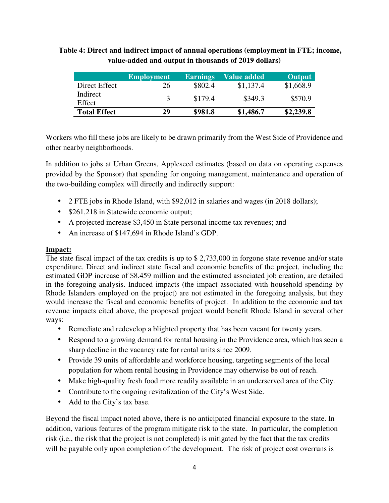# **Table 4: Direct and indirect impact of annual operations (employment in FTE; income, value-added and output in thousands of 2019 dollars)**

|                     | <b>Employment</b> | <b>Earnings</b> | <b>Value added</b> | <b>Output</b> |
|---------------------|-------------------|-----------------|--------------------|---------------|
| Direct Effect       | 26                | \$802.4         | \$1,137.4          | \$1,668.9     |
| Indirect<br>Effect  |                   | \$179.4         | \$349.3            | \$570.9       |
| <b>Total Effect</b> | 29                | \$981.8         | \$1,486.7          | \$2,239.8     |

Workers who fill these jobs are likely to be drawn primarily from the West Side of Providence and other nearby neighborhoods.

In addition to jobs at Urban Greens, Appleseed estimates (based on data on operating expenses provided by the Sponsor) that spending for ongoing management, maintenance and operation of the two-building complex will directly and indirectly support:

- 2 FTE jobs in Rhode Island, with \$92,012 in salaries and wages (in 2018 dollars);
- \$261,218 in Statewide economic output;
- A projected increase \$3,450 in State personal income tax revenues; and
- An increase of \$147,694 in Rhode Island's GDP.

## **Impact:**

The state fiscal impact of the tax credits is up to \$ 2,733,000 in forgone state revenue and/or state expenditure. Direct and indirect state fiscal and economic benefits of the project, including the estimated GDP increase of \$8.459 million and the estimated associated job creation, are detailed in the foregoing analysis. Induced impacts (the impact associated with household spending by Rhode Islanders employed on the project) are not estimated in the foregoing analysis, but they would increase the fiscal and economic benefits of project. In addition to the economic and tax revenue impacts cited above, the proposed project would benefit Rhode Island in several other ways:

- Remediate and redevelop a blighted property that has been vacant for twenty years.
- Respond to a growing demand for rental housing in the Providence area, which has seen a sharp decline in the vacancy rate for rental units since 2009.
- Provide 39 units of affordable and workforce housing, targeting segments of the local population for whom rental housing in Providence may otherwise be out of reach.
- Make high-quality fresh food more readily available in an underserved area of the City.
- Contribute to the ongoing revitalization of the City's West Side.
- Add to the City's tax base.

Beyond the fiscal impact noted above, there is no anticipated financial exposure to the state. In addition, various features of the program mitigate risk to the state. In particular, the completion risk (i.e., the risk that the project is not completed) is mitigated by the fact that the tax credits will be payable only upon completion of the development. The risk of project cost overruns is